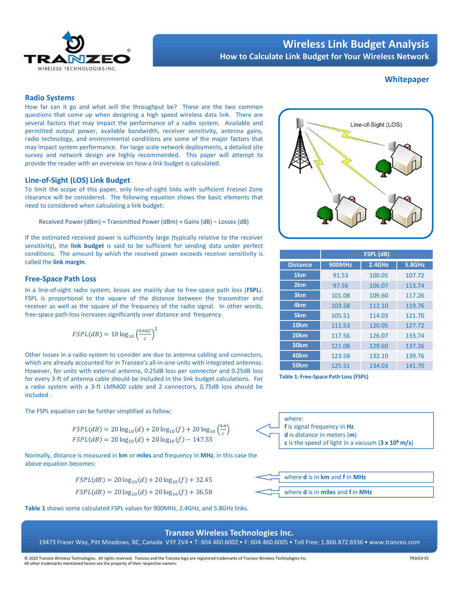

# Wireless Link Budget Analysis How to Calculate Link Budget for Your Wireless Network

# **Whitepaper**

### Radio Systems

How far can it go and what will the throughput be? These are the two common questions that come up when designing a high speed wireless data link. There are several factors that may impact the performance of a radio system. Available and permitted output power, available bandwidth, receiver sensitivity, antenna gains, radio technology, and environmental conditions are some of the major factors that may impact system performance. For large scale network deployments, a detailed site survey and network design are highly recommended. This paper will attempt to provide the reader with an overview on how a link budget is calculated.

# Line-of-Sight (LOS) Link Budget

To limit the scope of this paper, only line-of-sight links with sufficient Fresnel Zone clearance will be considered. The following equation shows the basic elements that need to considered when calculating a link budget:

Received Power (dBm) = Transmitted Power (dBm) + Gains (dB) − Losses (dB)

If the estimated received power is sufficiently large (typically relative to the receiver sensitivity), the link budget is said to be sufficient for sending data under perfect conditions. The amount by which the received power exceeds receiver sensitivity is called the link margin.

### Free-Space Path Loss

In a line-of-sight radio system, losses are mainly due to free-space path loss (FSPL). FSPL is proportional to the square of the distance between the transmitter and receiver as well as the square of the frequency of the radio signal. In other words, free-space path loss increases significantly over distance and frequency.

$$
FSPL(dB) = 10 \log_{10} \left(\frac{4\pi df}{c}\right)^2
$$

Other losses in a radio system to consider are due to antenna cabling and connectors, which are already accounted for in Tranzeo's all-in-one units with integrated antennas. However, for units with external antenna, 0.25dB loss per connector and 0.25dB loss for every 3-ft of antenna cable should be included in the link budget calculations. For a radio system with a 3-ft LMR400 cable and 2 connectors, 0.75dB loss should be included .

The FSPL equation can be further simplified as follow:

$$
FSPL(dB) = 20 \log_{10}(d) + 20 \log_{10}(f) + 20 \log_{10}\left(\frac{4\pi}{c}\right)
$$
  
\n
$$
FSPL(dB) = 20 \log_{10}(d) + 20 \log_{10}(f) - 147.55
$$

Normally, distance is measured in km or miles and frequency in MHz, in this case the above equation becomes:

$$
FSPL(dB) = 20\log_{10}(d) + 20\log_{10}(f) + 32.45
$$

$$
FSPL(dB) = 20\log_{10}(d) + 20\log_{10}(f) + 36.58
$$

Table 1 shows some calculated FSPL values for 900MHz, 2.4GHz, and 5.8GHz links.



|                  | FSPL (dB)     |        |               |  |  |  |  |
|------------------|---------------|--------|---------------|--|--|--|--|
| <b>Distance</b>  | <b>900MHz</b> | 2.4GHz | <b>5.8GHz</b> |  |  |  |  |
| 1 <sub>km</sub>  | 91.53         | 100.05 | 107.72        |  |  |  |  |
| 2 <sub>km</sub>  | 97.56         | 106.07 | 113.74        |  |  |  |  |
| 3 <sub>km</sub>  | 101.08        | 109.60 | 117.26        |  |  |  |  |
| 4 <sub>km</sub>  | 103.58        | 112.10 | 119.76        |  |  |  |  |
| 5km              | 105.51        | 114.03 | 121.70        |  |  |  |  |
| 10 <sub>km</sub> | 111.53        | 120.05 | 127.72        |  |  |  |  |
| 20 <sub>km</sub> | 117.56        | 126.07 | 133.74        |  |  |  |  |
| 30 <sub>km</sub> | 121.08        | 129.60 | 137.26        |  |  |  |  |
| 40 <sub>km</sub> | 123.58        | 132.10 | 139.76        |  |  |  |  |
| 50 <sub>km</sub> | 125.51        | 134.03 | 141.70        |  |  |  |  |

Table 1: Free-Space Path Loss (FSPL)





# Tranzeo Wireless Technologies Inc.

19473 Fraser Way, Pitt Meadows, BC, Canada V3Y 2V4 • T: 604.460.6002 • F: 604.460.6005 • Toll Free: 1.866.872.6936 • www.tranzeo.com

© 2010 Tranzeo Wireless Technologies. All rights reserved. Tranzeo and the Tranzeo logo are registered trademarks of Tranzeo Wireless Technologies Inc. All other trademarks mentioned herein are the property of their respective owners.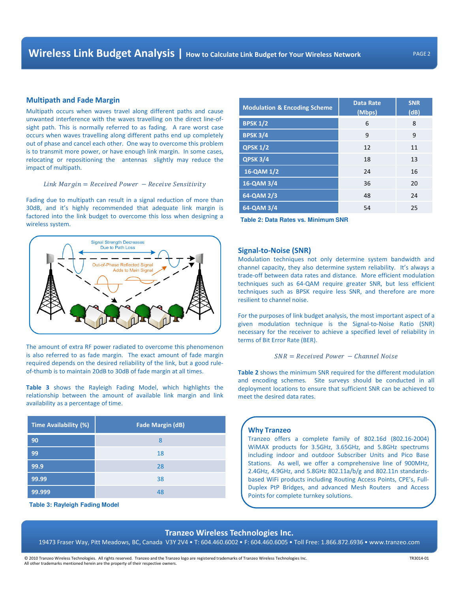#### Multipath and Fade Margin

Multipath occurs when waves travel along different paths and cause unwanted interference with the waves travelling on the direct line-ofsight path. This is normally referred to as fading. A rare worst case occurs when waves travelling along different paths end up completely out of phase and cancel each other. One way to overcome this problem is to transmit more power, or have enough link margin. In some cases, relocating or repositioning the antennas slightly may reduce the impact of multipath.

 $Link Margin = Received Power - Receive Sensitivity$ 

Fading due to multipath can result in a signal reduction of more than 30dB, and it's highly recommended that adequate link margin is factored into the link budget to overcome this loss when designing a ractored into the link budget to overcome this loss when designing a **Table 2: Data Rates vs. Minimum SNR**<br>wireless system.



The amount of extra RF power radiated to overcome this phenomenon is also referred to as fade margin. The exact amount of fade margin required depends on the desired reliability of the link, but a good ruleof-thumb is to maintain 20dB to 30dB of fade margin at all times.

Table 3 shows the Rayleigh Fading Model, which highlights the relationship between the amount of available link margin and link availability as a percentage of time.

| <b>Time Availability (%)</b> | <b>Fade Margin (dB)</b> |
|------------------------------|-------------------------|
| 90                           | 8                       |
| 99                           | 18                      |
| 99.9                         | 28                      |
| 99.99                        | 38                      |
| 99.999                       | 48                      |

**Table 3: Rayleigh Fading Model**

| <b>Modulation &amp; Encoding Scheme</b> | <b>Data Rate</b><br>(Mbps) | <b>SNR</b><br>(dB) |  |
|-----------------------------------------|----------------------------|--------------------|--|
| <b>BPSK 1/2</b>                         | 6                          | 8                  |  |
| <b>BPSK 3/4</b>                         | 9                          | 9                  |  |
| <b>QPSK 1/2</b>                         | 12                         | 11                 |  |
| <b>QPSK 3/4</b>                         | 18                         | 13                 |  |
| 16-QAM 1/2                              | 24                         | 16                 |  |
| 16-QAM 3/4                              | 36                         | 20                 |  |
| 64-QAM 2/3                              | 48                         | 24                 |  |
| 64-QAM 3/4                              | 54                         | 25                 |  |

### Signal-to-Noise (SNR)

Modulation techniques not only determine system bandwidth and channel capacity, they also determine system reliability. It's always a trade-off between data rates and distance. More efficient modulation techniques such as 64-QAM require greater SNR, but less efficient techniques such as BPSK require less SNR, and therefore are more resilient to channel noise.

For the purposes of link budget analysis, the most important aspect of a given modulation technique is the Signal-to-Noise Ratio (SNR) necessary for the receiver to achieve a specified level of reliability in terms of Bit Error Rate (BER).

$$
SNR = Received Power - Channel Noise
$$

Table 2 shows the minimum SNR required for the different modulation and encoding schemes. Site surveys should be conducted in all deployment locations to ensure that sufficient SNR can be achieved to meet the desired data rates.

#### Why Tranzeo

Tranzeo offers a complete family of 802.16d (802.16-2004) WiMAX products for 3.5GHz, 3.65GHz, and 5.8GHz spectrums including indoor and outdoor Subscriber Units and Pico Base Stations. As well, we offer a comprehensive line of 900MHz, 2.4GHz, 4.9GHz, and 5.8GHz 802.11a/b/g and 802.11n standardsbased WiFi products including Routing Access Points, CPE's, Full-Duplex PtP Bridges, and advanced Mesh Routers and Access Points for complete turnkey solutions.

### Tranzeo Wireless Technologies Inc.

19473 Fraser Way, Pitt Meadows, BC, Canada V3Y 2V4 • T: 604.460.6002 • F: 604.460.6005 • Toll Free: 1.866.872.6936 • www.tranzeo.com

© 2010 Tranzeo Wireless Technologies. All rights reserved. Tranzeo and the Tranzeo logo are registered trademarks of Tranzeo Wireless Technologies Inc. All other trademarks mentioned herein are the property of their respective owners.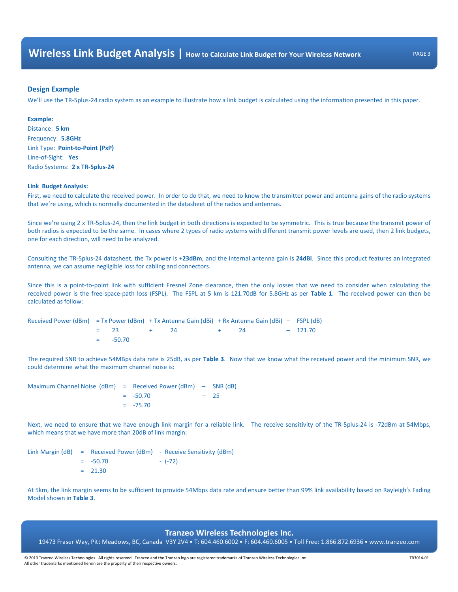# Design Example

We'll use the TR-5plus-24 radio system as an example to illustrate how a link budget is calculated using the information presented in this paper.

# Example:

Distance: 5 km Frequency: 5.8GHz Link Type: Point-to-Point (PxP) Line-of-Sight: Yes Radio Systems: 2 x TR-5plus-24

### Link Budget Analysis:

First, we need to calculate the received power. In order to do that, we need to know the transmitter power and antenna gains of the radio systems that we're using, which is normally documented in the datasheet of the radios and antennas.

Since we're using 2 x TR-5plus-24, then the link budget in both directions is expected to be symmetric. This is true because the transmit power of both radios is expected to be the same. In cases where 2 types of radio systems with different transmit power levels are used, then 2 link budgets, one for each direction, will need to be analyzed.

Consulting the TR-5plus-24 datasheet, the Tx power is +23dBm, and the internal antenna gain is 24dBi. Since this product features an integrated antenna, we can assume negligible loss for cabling and connectors.

Since this is a point-to-point link with sufficient Fresnel Zone clearance, then the only losses that we need to consider when calculating the received power is the free-space-path loss (FSPL). The FSPL at 5 km is 121.70dB for 5.8GHz as per Table 1. The received power can then be calculated as follow:

Received Power (dBm) = Tx Power (dBm) + Tx Antenna Gain (dBi) + Rx Antenna Gain (dBi) – FSPL (dB)  $= 23 + 24 + 24 - 121.70$  $=$   $-50.70$ 

The required SNR to achieve 54MBps data rate is 25dB, as per Table 3. Now that we know what the received power and the minimum SNR, we could determine what the maximum channel noise is:

Maximum Channel Noise (dBm) = Received Power (dBm) – SNR (dB)  $=$  -50.70 – 25  $= -75.70$ 

Next, we need to ensure that we have enough link margin for a reliable link. The receive sensitivity of the TR-5plus-24 is -72dBm at 54Mbps, which means that we have more than 20dB of link margin:

Link Margin (dB) = Received Power (dBm) - Receive Sensitivity (dBm)  $=$  -50.70 - (-72)  $= 21.30$ 

At 5km, the link margin seems to be sufficient to provide 54Mbps data rate and ensure better than 99% link availability based on Rayleigh's Fading Model shown in Table 3.

# Tranzeo Wireless Technologies Inc.

19473 Fraser Way, Pitt Meadows, BC, Canada V3Y 2V4 • T: 604.460.6002 • F: 604.460.6005 • Toll Free: 1.866.872.6936 • www.tranzeo.com